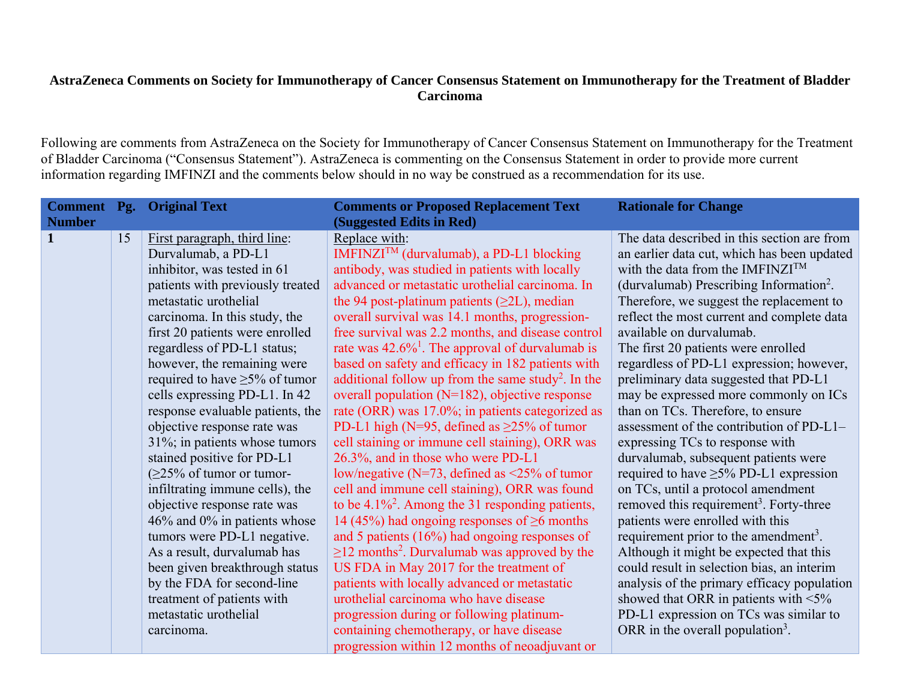## **AstraZeneca Comments on Society for Immunotherapy of Cancer Consensus Statement on Immunotherapy for the Treatment of Bladder Carcinoma**

Following are comments from AstraZeneca on the Society for Immunotherapy of Cancer Consensus Statement on Immunotherapy for the Treatment of Bladder Carcinoma ("Consensus Statement"). AstraZeneca is commenting on the Consensus Statement in order to provide more current information regarding IMFINZI and the comments below should in no way be construed as a recommendation for its use.

|               |    | <b>Comment</b> Pg. Original Text    | <b>Comments or Proposed Replacement Text</b>                   | <b>Rationale for Change</b>                         |
|---------------|----|-------------------------------------|----------------------------------------------------------------|-----------------------------------------------------|
| <b>Number</b> |    |                                     | (Suggested Edits in Red)                                       |                                                     |
| $\mathbf{1}$  | 15 | First paragraph, third line:        | Replace with:                                                  | The data described in this section are from         |
|               |    | Durvalumab, a PD-L1                 | IMFINZI <sup>TM</sup> (durvalumab), a PD-L1 blocking           | an earlier data cut, which has been updated         |
|               |    | inhibitor, was tested in 61         | antibody, was studied in patients with locally                 | with the data from the IMFINZI <sup>TM</sup>        |
|               |    | patients with previously treated    | advanced or metastatic urothelial carcinoma. In                | (durvalumab) Prescribing Information <sup>2</sup> . |
|               |    | metastatic urothelial               | the 94 post-platinum patients $(\geq 2L)$ , median             | Therefore, we suggest the replacement to            |
|               |    | carcinoma. In this study, the       | overall survival was 14.1 months, progression-                 | reflect the most current and complete data          |
|               |    | first 20 patients were enrolled     | free survival was 2.2 months, and disease control              | available on durvalumab.                            |
|               |    | regardless of PD-L1 status;         | rate was $42.6\%$ <sup>1</sup> . The approval of durvalumab is | The first 20 patients were enrolled                 |
|               |    | however, the remaining were         | based on safety and efficacy in 182 patients with              | regardless of PD-L1 expression; however,            |
|               |    | required to have $\geq$ 5% of tumor | additional follow up from the same study <sup>2</sup> . In the | preliminary data suggested that PD-L1               |
|               |    | cells expressing PD-L1. In 42       | overall population $(N=182)$ , objective response              | may be expressed more commonly on ICs               |
|               |    | response evaluable patients, the    | rate (ORR) was 17.0%; in patients categorized as               | than on TCs. Therefore, to ensure                   |
|               |    | objective response rate was         | PD-L1 high (N=95, defined as $\geq$ 25% of tumor               | assessment of the contribution of PD-L1-            |
|               |    | $31\%$ ; in patients whose tumors   | cell staining or immune cell staining), ORR was                | expressing TCs to response with                     |
|               |    | stained positive for PD-L1          | 26.3%, and in those who were PD-L1                             | durvalumab, subsequent patients were                |
|               |    | $(\geq 25\%$ of tumor or tumor-     | low/negative (N=73, defined as $\leq$ 25% of tumor             | required to have $\geq$ 5% PD-L1 expression         |
|               |    | infiltrating immune cells), the     | cell and immune cell staining), ORR was found                  | on TCs, until a protocol amendment                  |
|               |    | objective response rate was         | to be $4.1\%^2$ . Among the 31 responding patients,            | removed this requirement <sup>3</sup> . Forty-three |
|               |    | $46\%$ and $0\%$ in patients whose  | 14 (45%) had ongoing responses of $\geq 6$ months              | patients were enrolled with this                    |
|               |    | tumors were PD-L1 negative.         | and 5 patients $(16\%)$ had ongoing responses of               | requirement prior to the amendment <sup>3</sup> .   |
|               |    | As a result, durvalumab has         | $\geq$ 12 months <sup>2</sup> . Durvalumab was approved by the | Although it might be expected that this             |
|               |    | been given breakthrough status      | US FDA in May 2017 for the treatment of                        | could result in selection bias, an interim          |
|               |    | by the FDA for second-line          | patients with locally advanced or metastatic                   | analysis of the primary efficacy population         |
|               |    | treatment of patients with          | urothelial carcinoma who have disease                          | showed that ORR in patients with $\leq 5\%$         |
|               |    | metastatic urothelial               | progression during or following platinum-                      | PD-L1 expression on TCs was similar to              |
|               |    | carcinoma.                          | containing chemotherapy, or have disease                       | ORR in the overall population <sup>3</sup> .        |
|               |    |                                     | progression within 12 months of neoadjuvant or                 |                                                     |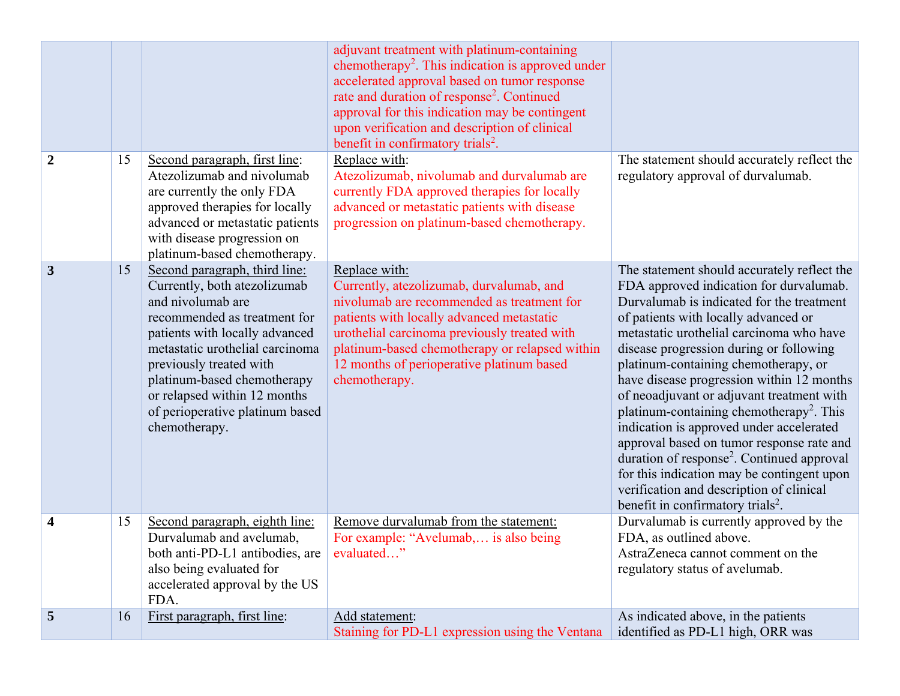|                |    |                                                                                                                                                                                                                                                                                                                                       | adjuvant treatment with platinum-containing<br>chemotherapy <sup>2</sup> . This indication is approved under<br>accelerated approval based on tumor response<br>rate and duration of response <sup>2</sup> . Continued<br>approval for this indication may be contingent<br>upon verification and description of clinical<br>benefit in confirmatory trials <sup>2</sup> . |                                                                                                                                                                                                                                                                                                                                                                                                                                                                                                                                                                                                                                                                                                                                                            |
|----------------|----|---------------------------------------------------------------------------------------------------------------------------------------------------------------------------------------------------------------------------------------------------------------------------------------------------------------------------------------|----------------------------------------------------------------------------------------------------------------------------------------------------------------------------------------------------------------------------------------------------------------------------------------------------------------------------------------------------------------------------|------------------------------------------------------------------------------------------------------------------------------------------------------------------------------------------------------------------------------------------------------------------------------------------------------------------------------------------------------------------------------------------------------------------------------------------------------------------------------------------------------------------------------------------------------------------------------------------------------------------------------------------------------------------------------------------------------------------------------------------------------------|
| $\overline{2}$ | 15 | Second paragraph, first line:<br>Atezolizumab and nivolumab<br>are currently the only FDA<br>approved therapies for locally<br>advanced or metastatic patients<br>with disease progression on<br>platinum-based chemotherapy.                                                                                                         | Replace with:<br>Atezolizumab, nivolumab and durvalumab are<br>currently FDA approved therapies for locally<br>advanced or metastatic patients with disease<br>progression on platinum-based chemotherapy.                                                                                                                                                                 | The statement should accurately reflect the<br>regulatory approval of durvalumab.                                                                                                                                                                                                                                                                                                                                                                                                                                                                                                                                                                                                                                                                          |
| 3              | 15 | Second paragraph, third line:<br>Currently, both atezolizumab<br>and nivolumab are<br>recommended as treatment for<br>patients with locally advanced<br>metastatic urothelial carcinoma<br>previously treated with<br>platinum-based chemotherapy<br>or relapsed within 12 months<br>of perioperative platinum based<br>chemotherapy. | Replace with:<br>Currently, atezolizumab, durvalumab, and<br>nivolumab are recommended as treatment for<br>patients with locally advanced metastatic<br>urothelial carcinoma previously treated with<br>platinum-based chemotherapy or relapsed within<br>12 months of perioperative platinum based<br>chemotherapy.                                                       | The statement should accurately reflect the<br>FDA approved indication for durvalumab.<br>Durvalumab is indicated for the treatment<br>of patients with locally advanced or<br>metastatic urothelial carcinoma who have<br>disease progression during or following<br>platinum-containing chemotherapy, or<br>have disease progression within 12 months<br>of neoadjuvant or adjuvant treatment with<br>platinum-containing chemotherapy <sup>2</sup> . This<br>indication is approved under accelerated<br>approval based on tumor response rate and<br>duration of response <sup>2</sup> . Continued approval<br>for this indication may be contingent upon<br>verification and description of clinical<br>benefit in confirmatory trials <sup>2</sup> . |
| 4              | 15 | Second paragraph, eighth line:<br>Durvalumab and avelumab,<br>both anti-PD-L1 antibodies, are<br>also being evaluated for<br>accelerated approval by the US<br>FDA.                                                                                                                                                                   | Remove durvalumab from the statement:<br>For example: "Avelumab, is also being<br>evaluated"                                                                                                                                                                                                                                                                               | Durvalumab is currently approved by the<br>FDA, as outlined above.<br>AstraZeneca cannot comment on the<br>regulatory status of avelumab.                                                                                                                                                                                                                                                                                                                                                                                                                                                                                                                                                                                                                  |
| 5              | 16 | First paragraph, first line:                                                                                                                                                                                                                                                                                                          | Add statement:<br>Staining for PD-L1 expression using the Ventana                                                                                                                                                                                                                                                                                                          | As indicated above, in the patients<br>identified as PD-L1 high, ORR was                                                                                                                                                                                                                                                                                                                                                                                                                                                                                                                                                                                                                                                                                   |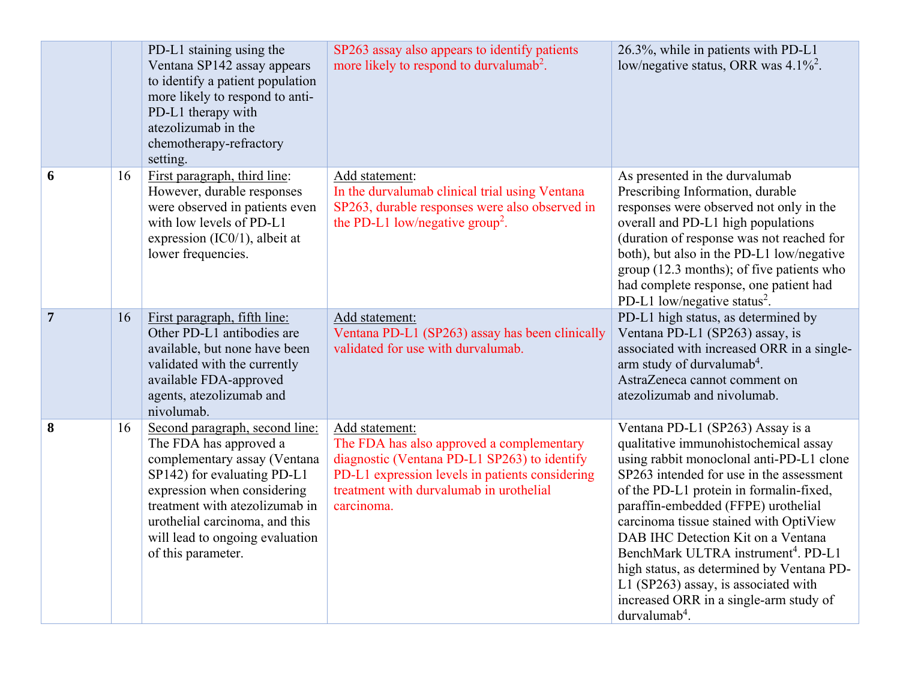|                |    | PD-L1 staining using the<br>Ventana SP142 assay appears<br>to identify a patient population<br>more likely to respond to anti-<br>PD-L1 therapy with<br>atezolizumab in the<br>chemotherapy-refractory<br>setting.                                                                  | SP263 assay also appears to identify patients<br>more likely to respond to durvalumab <sup>2</sup> .                                                                                                                    | 26.3%, while in patients with PD-L1<br>low/negative status, ORR was $4.1\%^2$ .                                                                                                                                                                                                                                                                                                                                                                                                                                                          |
|----------------|----|-------------------------------------------------------------------------------------------------------------------------------------------------------------------------------------------------------------------------------------------------------------------------------------|-------------------------------------------------------------------------------------------------------------------------------------------------------------------------------------------------------------------------|------------------------------------------------------------------------------------------------------------------------------------------------------------------------------------------------------------------------------------------------------------------------------------------------------------------------------------------------------------------------------------------------------------------------------------------------------------------------------------------------------------------------------------------|
| 6              | 16 | First paragraph, third line:<br>However, durable responses<br>were observed in patients even<br>with low levels of PD-L1<br>expression $(IC0/1)$ , albeit at<br>lower frequencies.                                                                                                  | Add statement:<br>In the durvalumab clinical trial using Ventana<br>SP263, durable responses were also observed in<br>the PD-L1 low/negative group <sup>2</sup> .                                                       | As presented in the durvalumab<br>Prescribing Information, durable<br>responses were observed not only in the<br>overall and PD-L1 high populations<br>(duration of response was not reached for<br>both), but also in the PD-L1 low/negative<br>group (12.3 months); of five patients who<br>had complete response, one patient had<br>PD-L1 low/negative status <sup>2</sup> .                                                                                                                                                         |
| $\overline{7}$ | 16 | First paragraph, fifth line:<br>Other PD-L1 antibodies are<br>available, but none have been<br>validated with the currently<br>available FDA-approved<br>agents, atezolizumab and<br>nivolumab.                                                                                     | Add statement:<br>Ventana PD-L1 (SP263) assay has been clinically<br>validated for use with durvalumab.                                                                                                                 | PD-L1 high status, as determined by<br>Ventana PD-L1 (SP263) assay, is<br>associated with increased ORR in a single-<br>arm study of durvalumab <sup>4</sup> .<br>AstraZeneca cannot comment on<br>atezolizumab and nivolumab.                                                                                                                                                                                                                                                                                                           |
| 8              | 16 | Second paragraph, second line:<br>The FDA has approved a<br>complementary assay (Ventana<br>SP142) for evaluating PD-L1<br>expression when considering<br>treatment with atezolizumab in<br>urothelial carcinoma, and this<br>will lead to ongoing evaluation<br>of this parameter. | Add statement:<br>The FDA has also approved a complementary<br>diagnostic (Ventana PD-L1 SP263) to identify<br>PD-L1 expression levels in patients considering<br>treatment with durvalumab in urothelial<br>carcinoma. | Ventana PD-L1 (SP263) Assay is a<br>qualitative immunohistochemical assay<br>using rabbit monoclonal anti-PD-L1 clone<br>SP263 intended for use in the assessment<br>of the PD-L1 protein in formalin-fixed,<br>paraffin-embedded (FFPE) urothelial<br>carcinoma tissue stained with OptiView<br>DAB IHC Detection Kit on a Ventana<br>BenchMark ULTRA instrument <sup>4</sup> . PD-L1<br>high status, as determined by Ventana PD-<br>L1 (SP263) assay, is associated with<br>increased ORR in a single-arm study of<br>$durvalumab4$ . |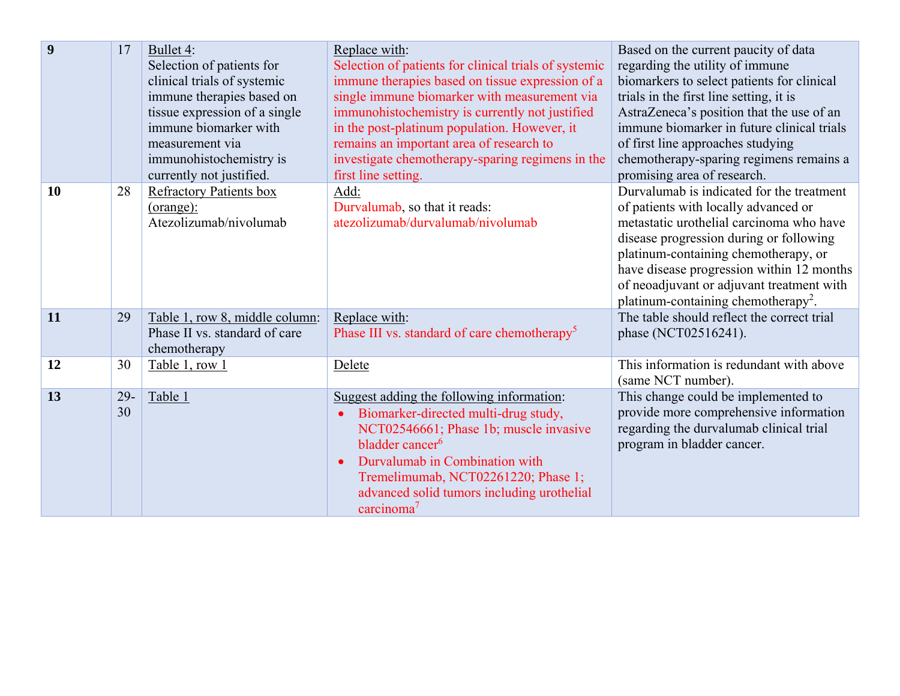| $\boldsymbol{9}$ | 17           | Bullet 4:<br>Selection of patients for<br>clinical trials of systemic<br>immune therapies based on<br>tissue expression of a single<br>immune biomarker with<br>measurement via<br>immunohistochemistry is<br>currently not justified. | Replace with:<br>Selection of patients for clinical trials of systemic<br>immune therapies based on tissue expression of a<br>single immune biomarker with measurement via<br>immunohistochemistry is currently not justified<br>in the post-platinum population. However, it<br>remains an important area of research to<br>investigate chemotherapy-sparing regimens in the<br>first line setting. | Based on the current paucity of data<br>regarding the utility of immune<br>biomarkers to select patients for clinical<br>trials in the first line setting, it is<br>AstraZeneca's position that the use of an<br>immune biomarker in future clinical trials<br>of first line approaches studying<br>chemotherapy-sparing regimens remains a<br>promising area of research. |
|------------------|--------------|----------------------------------------------------------------------------------------------------------------------------------------------------------------------------------------------------------------------------------------|------------------------------------------------------------------------------------------------------------------------------------------------------------------------------------------------------------------------------------------------------------------------------------------------------------------------------------------------------------------------------------------------------|----------------------------------------------------------------------------------------------------------------------------------------------------------------------------------------------------------------------------------------------------------------------------------------------------------------------------------------------------------------------------|
| 10               | 28           | <b>Refractory Patients box</b><br>$(orange)$ :<br>Atezolizumab/nivolumab                                                                                                                                                               | Add:<br>Durvalumab, so that it reads:<br>atezolizumab/durvalumab/nivolumab                                                                                                                                                                                                                                                                                                                           | Durvalumab is indicated for the treatment<br>of patients with locally advanced or<br>metastatic urothelial carcinoma who have<br>disease progression during or following<br>platinum-containing chemotherapy, or<br>have disease progression within 12 months<br>of neoadjuvant or adjuvant treatment with<br>platinum-containing chemotherapy <sup>2</sup> .              |
| 11               | 29           | Table 1, row 8, middle column:<br>Phase II vs. standard of care<br>chemotherapy                                                                                                                                                        | Replace with:<br>Phase III vs. standard of care chemotherapy <sup>5</sup>                                                                                                                                                                                                                                                                                                                            | The table should reflect the correct trial<br>phase (NCT02516241).                                                                                                                                                                                                                                                                                                         |
| 12               | 30           | Table 1, row 1                                                                                                                                                                                                                         | Delete                                                                                                                                                                                                                                                                                                                                                                                               | This information is redundant with above<br>(same NCT number).                                                                                                                                                                                                                                                                                                             |
| 13               | $29 -$<br>30 | Table 1                                                                                                                                                                                                                                | Suggest adding the following information:<br>Biomarker-directed multi-drug study,<br>NCT02546661; Phase 1b; muscle invasive<br>bladder cancer <sup>6</sup><br>Durvalumab in Combination with<br>Tremelimumab, NCT02261220; Phase 1;<br>advanced solid tumors including urothelial<br>carcinoma <sup>7</sup>                                                                                          | This change could be implemented to<br>provide more comprehensive information<br>regarding the durvalumab clinical trial<br>program in bladder cancer.                                                                                                                                                                                                                     |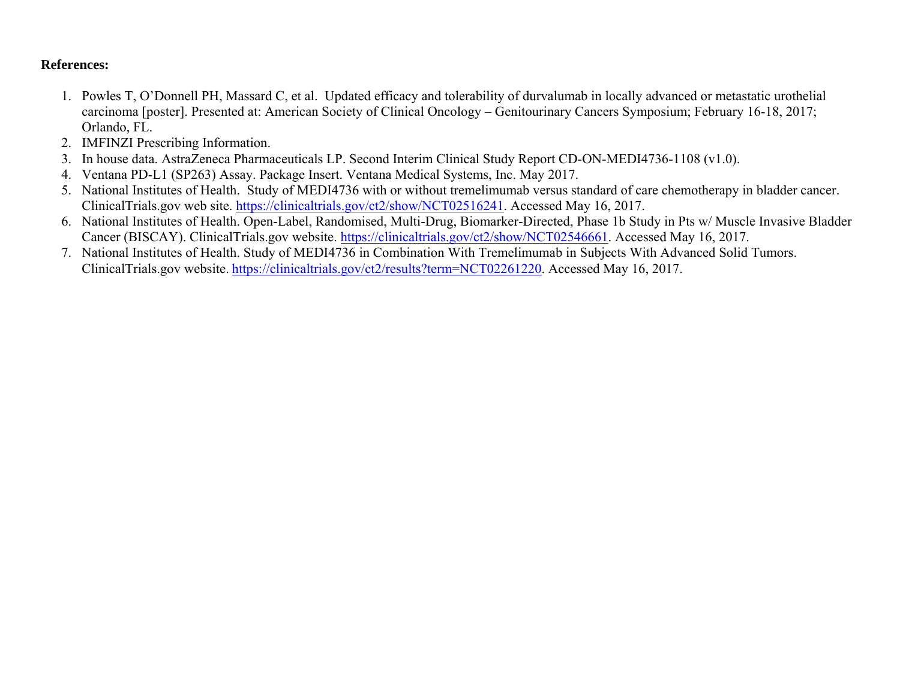## **References:**

- 1. Powles T, O'Donnell PH, Massard C, et al. Updated efficacy and tolerability of durvalumab in locally advanced or metastatic urothelial carcinoma [poster]. Presented at: American Society of Clinical Oncology – Genitourinary Cancers Symposium; February 16-18, 2017; Orlando, FL.
- 2. IMFINZI Prescribing Information.
- 3. In house data. AstraZeneca Pharmaceuticals LP. Second Interim Clinical Study Report CD-ON-MEDI4736-1108 (v1.0).
- 4. Ventana PD-L1 (SP263) Assay. Package Insert. Ventana Medical Systems, Inc. May 2017.
- 5. National Institutes of Health. Study of MEDI4736 with or without tremelimumab versus standard of care chemotherapy in bladder cancer. ClinicalTrials.gov web site. https://clinicaltrials.gov/ct2/show/NCT02516241. Accessed May 16, 2017.
- 6. National Institutes of Health. Open-Label, Randomised, Multi-Drug, Biomarker-Directed, Phase 1b Study in Pts w/ Muscle Invasive Bladder Cancer (BISCAY). ClinicalTrials.gov website. https://clinicaltrials.gov/ct2/show/NCT02546661. Accessed May 16, 2017.
- 7. National Institutes of Health. Study of MEDI4736 in Combination With Tremelimumab in Subjects With Advanced Solid Tumors. ClinicalTrials.gov website. https://clinicaltrials.gov/ct2/results?term=NCT02261220. Accessed May 16, 2017.